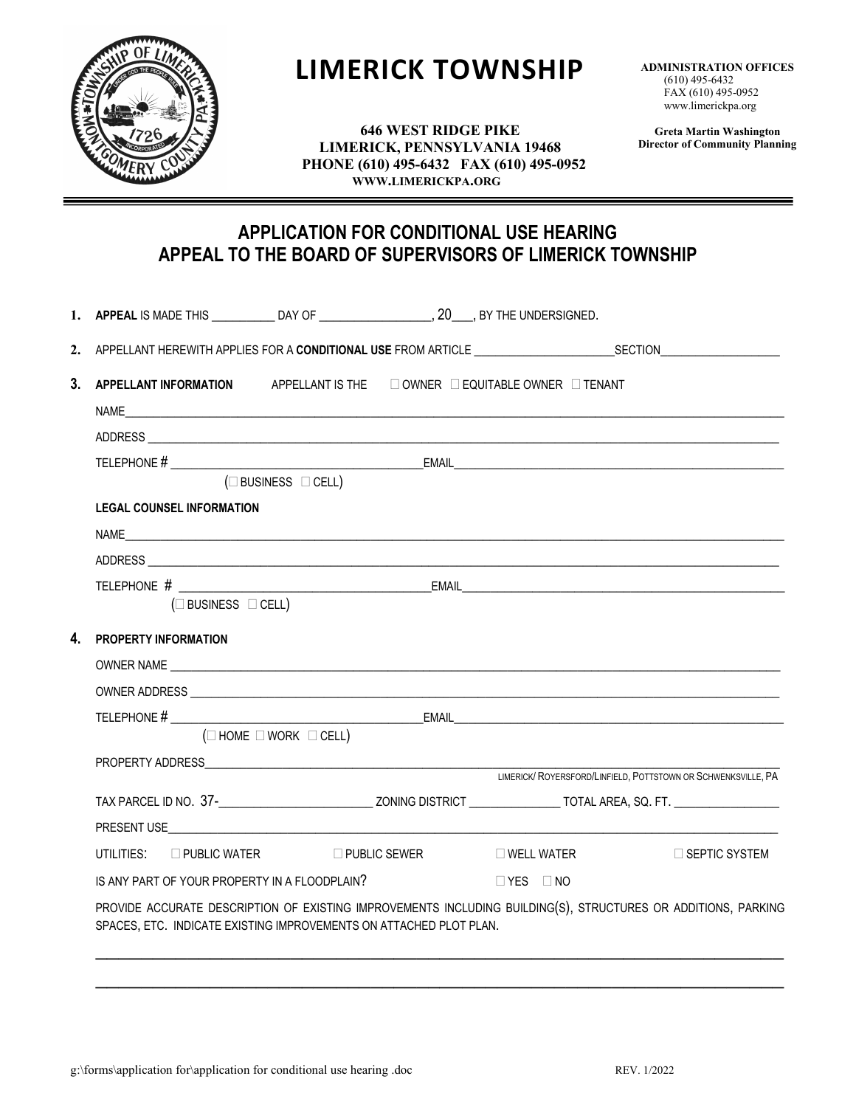

# **LIMERICK TOWNSHIP**

**ADMINISTRATION OFFICES** (610) 495-6432 FAX (610) 495-0952 www.limerickpa.org

**646 WEST RIDGE PIKE LIMERICK, PENNSYLVANIA 19468 PHONE (610) 495-6432 FAX (610) 495-0952 WWW.LIMERICKPA.ORG**

**Greta Martin Washington Director of Community Planning**

## **APPLICATION FOR CONDITIONAL USE HEARING APPEAL TO THE BOARD OF SUPERVISORS OF LIMERICK TOWNSHIP**

|    | 1. APPEAL IS MADE THIS ______________DAY OF ______________________, 20____, BY THE UNDERSIGNED.                                                                                     |                                                                                      |  |  |                      |  |  |  |
|----|-------------------------------------------------------------------------------------------------------------------------------------------------------------------------------------|--------------------------------------------------------------------------------------|--|--|----------------------|--|--|--|
|    |                                                                                                                                                                                     | 2. APPELLANT HEREWITH APPLIES FOR A CONDITIONAL USE FROM ARTICLE THE SECTION SECTION |  |  |                      |  |  |  |
| 3. | APPELLANT INFORMATION APPELLANT IS THE $\Box$ OWNER $\Box$ EQUITABLE OWNER $\Box$ TENANT                                                                                            |                                                                                      |  |  |                      |  |  |  |
|    |                                                                                                                                                                                     |                                                                                      |  |  |                      |  |  |  |
|    |                                                                                                                                                                                     |                                                                                      |  |  |                      |  |  |  |
|    | $(\square$ BUSINESS $\square$ CELL)                                                                                                                                                 |                                                                                      |  |  |                      |  |  |  |
|    | <b>LEGAL COUNSEL INFORMATION</b>                                                                                                                                                    |                                                                                      |  |  |                      |  |  |  |
|    |                                                                                                                                                                                     |                                                                                      |  |  |                      |  |  |  |
|    |                                                                                                                                                                                     |                                                                                      |  |  |                      |  |  |  |
|    | $(\square$ BUSINESS $\square$ CELL)                                                                                                                                                 |                                                                                      |  |  |                      |  |  |  |
| 4. | <b>PROPERTY INFORMATION</b>                                                                                                                                                         |                                                                                      |  |  |                      |  |  |  |
|    | OWNER NAME CONTRACT AND A RESIDENCE OF A REPORT OF A REPORT OF A REPORT OF A REPORT OF A REPORT OF A REPORT OF                                                                      |                                                                                      |  |  |                      |  |  |  |
|    |                                                                                                                                                                                     |                                                                                      |  |  |                      |  |  |  |
|    |                                                                                                                                                                                     |                                                                                      |  |  |                      |  |  |  |
|    | $(\Box$ HOME $\Box$ WORK $\Box$ CELL)                                                                                                                                               |                                                                                      |  |  |                      |  |  |  |
|    |                                                                                                                                                                                     |                                                                                      |  |  |                      |  |  |  |
|    |                                                                                                                                                                                     |                                                                                      |  |  |                      |  |  |  |
|    |                                                                                                                                                                                     |                                                                                      |  |  |                      |  |  |  |
|    |                                                                                                                                                                                     |                                                                                      |  |  |                      |  |  |  |
|    | UTILITIES: □ PUBLIC WATER □ PUBLIC SEWER □ WELL WATER                                                                                                                               |                                                                                      |  |  | $\Box$ SEPTIC SYSTEM |  |  |  |
|    | IS ANY PART OF YOUR PROPERTY IN A FLOODPLAIN?                                                                                                                                       |                                                                                      |  |  |                      |  |  |  |
|    | PROVIDE ACCURATE DESCRIPTION OF EXISTING IMPROVEMENTS INCLUDING BUILDING(S), STRUCTURES OR ADDITIONS, PARKING<br>SPACES, ETC. INDICATE EXISTING IMPROVEMENTS ON ATTACHED PLOT PLAN. |                                                                                      |  |  |                      |  |  |  |
|    |                                                                                                                                                                                     |                                                                                      |  |  |                      |  |  |  |
|    |                                                                                                                                                                                     |                                                                                      |  |  |                      |  |  |  |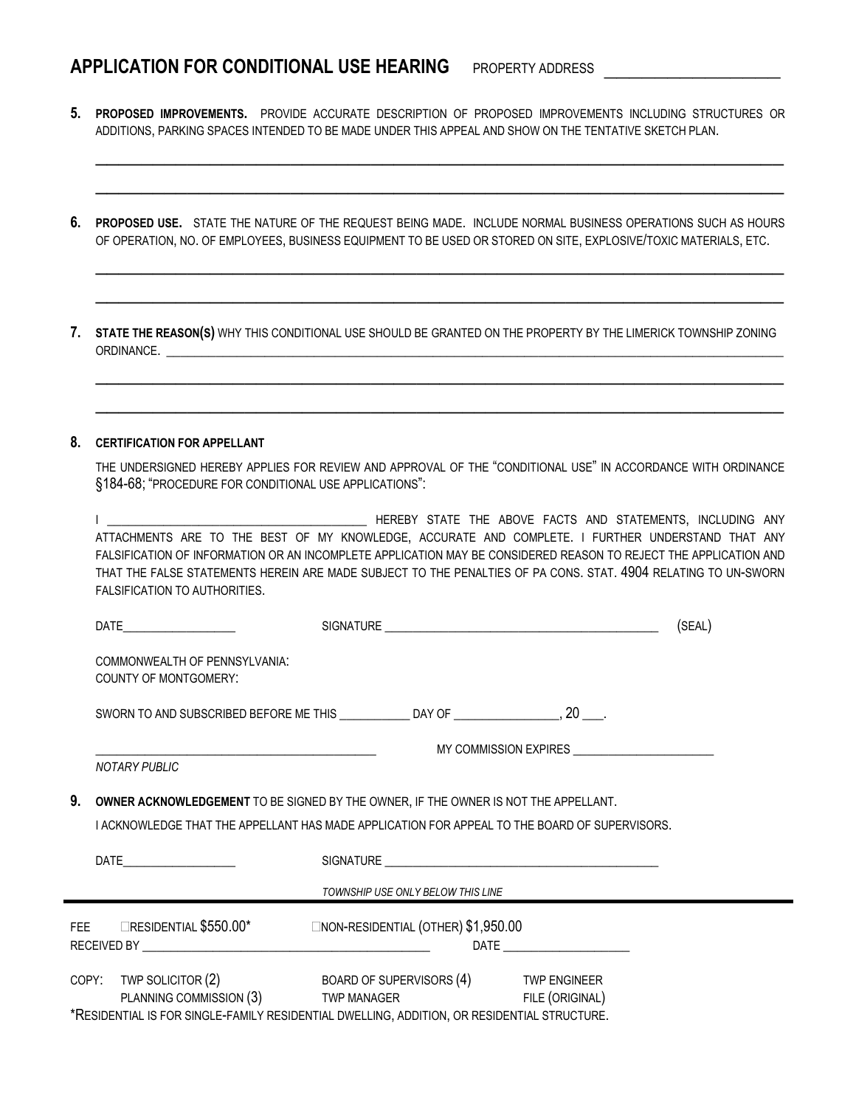# **APPLICATION FOR CONDITIONAL USE HEARING** PROPERTY ADDRESS

**5. PROPOSED IMPROVEMENTS.** PROVIDE ACCURATE DESCRIPTION OF PROPOSED IMPROVEMENTS INCLUDING STRUCTURES OR ADDITIONS, PARKING SPACES INTENDED TO BE MADE UNDER THIS APPEAL AND SHOW ON THE TENTATIVE SKETCH PLAN.

\_\_\_\_\_\_\_\_\_\_\_\_\_\_\_\_\_\_\_\_\_\_\_\_\_\_\_\_\_\_\_\_\_\_\_\_\_\_\_\_\_\_\_\_\_\_\_\_\_\_\_\_\_\_\_\_\_\_\_\_

\_\_\_\_\_\_\_\_\_\_\_\_\_\_\_\_\_\_\_\_\_\_\_\_\_\_\_\_\_\_\_\_\_\_\_\_\_\_\_\_\_\_\_\_\_\_\_\_\_\_\_\_\_\_\_\_\_\_\_\_

\_\_\_\_\_\_\_\_\_\_\_\_\_\_\_\_\_\_\_\_\_\_\_\_\_\_\_\_\_\_\_\_\_\_\_\_\_\_\_\_\_\_\_\_\_\_\_\_\_\_\_\_\_\_\_\_\_\_\_\_

\_\_\_\_\_\_\_\_\_\_\_\_\_\_\_\_\_\_\_\_\_\_\_\_\_\_\_\_\_\_\_\_\_\_\_\_\_\_\_\_\_\_\_\_\_\_\_\_\_\_\_\_\_\_\_\_\_\_\_\_

\_\_\_\_\_\_\_\_\_\_\_\_\_\_\_\_\_\_\_\_\_\_\_\_\_\_\_\_\_\_\_\_\_\_\_\_\_\_\_\_\_\_\_\_\_\_\_\_\_\_\_\_\_\_\_\_\_\_\_\_

\_\_\_\_\_\_\_\_\_\_\_\_\_\_\_\_\_\_\_\_\_\_\_\_\_\_\_\_\_\_\_\_\_\_\_\_\_\_\_\_\_\_\_\_\_\_\_\_\_\_\_\_\_\_\_\_\_\_\_\_

**6. PROPOSED USE.** STATE THE NATURE OF THE REQUEST BEING MADE. INCLUDE NORMAL BUSINESS OPERATIONS SUCH AS HOURS OF OPERATION, NO. OF EMPLOYEES, BUSINESS EQUIPMENT TO BE USED OR STORED ON SITE, EXPLOSIVE/TOXIC MATERIALS, ETC.

**7. STATE THE REASON(S)** WHY THIS CONDITIONAL USE SHOULD BE GRANTED ON THE PROPERTY BY THE LIMERICK TOWNSHIP ZONING ORDINANCE.

#### **8. CERTIFICATION FOR APPELLANT**

THE UNDERSIGNED HEREBY APPLIES FOR REVIEW AND APPROVAL OF THE "CONDITIONAL USE" IN ACCORDANCE WITH ORDINANCE §184-68; "PROCEDURE FOR CONDITIONAL USE APPLICATIONS":

I \_\_\_\_\_\_\_\_\_\_\_\_\_\_\_\_\_\_\_\_\_\_\_\_\_\_\_\_\_\_\_\_\_\_\_\_\_ HEREBY STATE THE ABOVE FACTS AND STATEMENTS, INCLUDING ANY ATTACHMENTS ARE TO THE BEST OF MY KNOWLEDGE, ACCURATE AND COMPLETE. I FURTHER UNDERSTAND THAT ANY FALSIFICATION OF INFORMATION OR AN INCOMPLETE APPLICATION MAY BE CONSIDERED REASON TO REJECT THE APPLICATION AND THAT THE FALSE STATEMENTS HEREIN ARE MADE SUBJECT TO THE PENALTIES OF PA CONS. STAT. 4904 RELATING TO UN-SWORN FALSIFICATION TO AUTHORITIES.

|                                                                                       |                                                                                                                                                                                      |                                       |  |  | (SEAL) |  |  |  |
|---------------------------------------------------------------------------------------|--------------------------------------------------------------------------------------------------------------------------------------------------------------------------------------|---------------------------------------|--|--|--------|--|--|--|
|                                                                                       | COMMONWEALTH OF PENNSYLVANIA:<br><b>COUNTY OF MONTGOMERY:</b>                                                                                                                        |                                       |  |  |        |  |  |  |
|                                                                                       | SWORN TO AND SUBSCRIBED BEFORE ME THIS _______________DAY OF ___________________, 20 ____.                                                                                           |                                       |  |  |        |  |  |  |
| <b>NOTARY PUBLIC</b>                                                                  |                                                                                                                                                                                      |                                       |  |  |        |  |  |  |
| 9.                                                                                    | OWNER ACKNOWLEDGEMENT TO BE SIGNED BY THE OWNER, IF THE OWNER IS NOT THE APPELLANT.<br>I ACKNOWLEDGE THAT THE APPELLANT HAS MADE APPLICATION FOR APPEAL TO THE BOARD OF SUPERVISORS. |                                       |  |  |        |  |  |  |
|                                                                                       |                                                                                                                                                                                      |                                       |  |  |        |  |  |  |
|                                                                                       | TOWNSHIP USE ONLY BELOW THIS LINE                                                                                                                                                    |                                       |  |  |        |  |  |  |
| FEE <b>EXECUTE EXECUTE EXECUTE:</b> FEE <b>EXECUTER</b> S1,950.00<br>DATE <b>DATE</b> |                                                                                                                                                                                      |                                       |  |  |        |  |  |  |
|                                                                                       | COPY: TWP SOLICITOR (2)<br>PLANNING COMMISSION (3) TWP MANAGER FILE (ORIGINAL)                                                                                                       | BOARD OF SUPERVISORS (4) TWP ENGINEER |  |  |        |  |  |  |
|                                                                                       | *RESIDENTIAL IS FOR SINGLE-FAMILY RESIDENTIAL DWELLING, ADDITION, OR RESIDENTIAL STRUCTURE.                                                                                          |                                       |  |  |        |  |  |  |